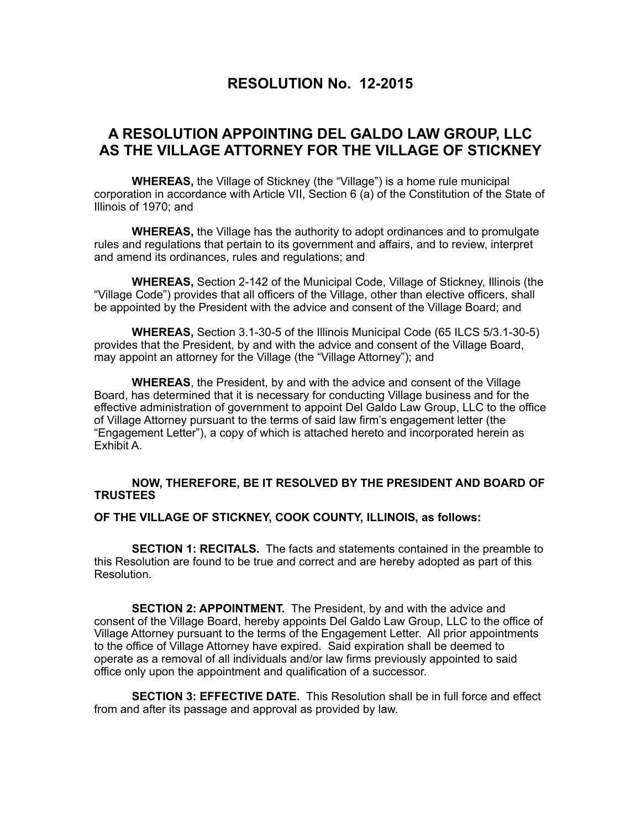## **RESOLUTION No. 12-2015**

## **A RESOLUTION APPOINTING DEL GALDO LAW GROUP, LLC AS THE VILLAGE ATTORNEY FOR THE VILLAGE OF STICKNEY**

 **WHEREAS,** the Village of Stickney (the "Village") is a home rule municipal corporation in accordance with Article VII, Section 6 (a) of the Constitution of the State of Illinois of 1970; and

**WHEREAS,** the Village has the authority to adopt ordinances and to promulgate rules and regulations that pertain to its government and affairs, and to review, interpret and amend its ordinances, rules and regulations; and

**WHEREAS,** Section 2-142 of the Municipal Code, Village of Stickney, Illinois (the "Village Code") provides that all officers of the Village, other than elective officers, shall be appointed by the President with the advice and consent of the Village Board; and

**WHEREAS,** Section 3.1-30-5 of the Illinois Municipal Code (65 ILCS 5/3.1-30-5) provides that the President, by and with the advice and consent of the Village Board, may appoint an attorney for the Village (the "Village Attorney"); and

**WHEREAS**, the President, by and with the advice and consent of the Village Board, has determined that it is necessary for conducting Village business and for the effective administration of government to appoint Del Galdo Law Group, LLC to the office of Village Attorney pursuant to the terms of said law firm's engagement letter (the "Engagement Letter"), a copy of which is attached hereto and incorporated herein as Exhibit A.

## **NOW, THEREFORE, BE IT RESOLVED BY THE PRESIDENT AND BOARD OF TRUSTEES**

## **OF THE VILLAGE OF STICKNEY, COOK COUNTY, ILLINOIS, as follows:**

 **SECTION 1: RECITALS.** The facts and statements contained in the preamble to this Resolution are found to be true and correct and are hereby adopted as part of this Resolution.

**SECTION 2: APPOINTMENT.** The President, by and with the advice and consent of the Village Board, hereby appoints Del Galdo Law Group, LLC to the office of Village Attorney pursuant to the terms of the Engagement Letter. All prior appointments to the office of Village Attorney have expired. Said expiration shall be deemed to operate as a removal of all individuals and/or law firms previously appointed to said office only upon the appointment and qualification of a successor.

**SECTION 3: EFFECTIVE DATE.** This Resolution shall be in full force and effect from and after its passage and approval as provided by law.